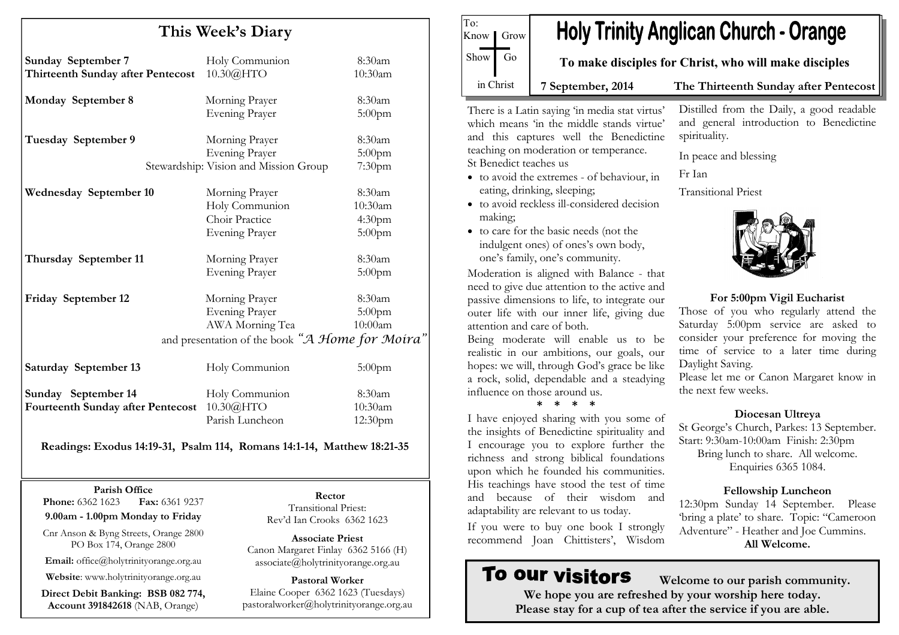| This Week's Diary                                              |                                                                                  |                                                      |
|----------------------------------------------------------------|----------------------------------------------------------------------------------|------------------------------------------------------|
| <b>Sunday September 7</b><br>Thirteenth Sunday after Pentecost | Holy Communion<br>10.30@HTO                                                      | 8:30am<br>10:30am                                    |
| <b>Monday September 8</b>                                      | Morning Prayer<br><b>Evening Prayer</b>                                          | 8:30am<br>$5:00$ pm                                  |
| Tuesday September 9                                            | Morning Prayer<br><b>Evening Prayer</b><br>Stewardship: Vision and Mission Group | 8:30am<br>$5:00$ pm<br>7:30 <sub>pm</sub>            |
| <b>Wednesday September 10</b>                                  | Morning Prayer<br>Holy Communion<br>Choir Practice<br><b>Evening Prayer</b>      | 8:30am<br>10:30am<br>4:30 <sub>pm</sub><br>$5:00$ pm |
| Thursday September 11                                          | Morning Prayer<br><b>Evening Prayer</b>                                          | 8:30am<br>$5:00$ pm                                  |

Friday September 12 Morning Prayer 8:30am Evening Prayer 5:00pm AWA Morning Tea 10:00am and presentation of the book "A Home for Moira" Saturday September 13 Holy Communion 5:00pm

Sunday September 14 Holy Communion 8:30am  $10:30am$ Fourteenth Sunday after Pentecost 10.30@HTO Parish Luncheon 12:30pm

#### Readings: Exodus 14:19-31, Psalm 114, Romans 14:1-14, Matthew 18:21-35

Parish Office

Fax: 6361 9237 **Phone:** 6362 1623

9.00am - 1.00pm Monday to Friday

Cnr Anson & Byng Streets, Orange 2800 PO Box 174, Orange 2800

Email: office@holytrinityorange.org.au

Website: www.holytrinityorange.org.au

Direct Debit Banking: BSB 082 774, Account 391842618 (NAB, Orange)

Rector Transitional Priest: Rev'd Ian Crooks 6362 1623

Associate Priest Canon Margaret Finlay 6362 5166 (H) associate@holytrinityorange.org.au

Pastoral Worker Elaine Cooper 6362 1623 (Tuesdays) pastoralworker@holytrinityorange.org.au

**Holy Trinity Anglican Church - Orange** To make disciples for Christ, who will make disciples 7 September, 2014 The Thirteenth Sunday after Pentecost

There is a Latin saying 'in media stat virtus' which means 'in the middle stands virtue' and this captures well the Benedictine teaching on moderation or temperance. St Benedict teaches us

To:

Know *I* Grow

Show Go

in Christ

- to avoid the extremes of behaviour, in eating, drinking, sleeping;
- to avoid reckless ill-considered decision making;
- to care for the basic needs (not the indulgent ones) of ones's own body, one's family, one's community.

Moderation is aligned with Balance - that need to give due attention to the active and passive dimensions to life, to integrate our outer life with our inner life, giving due attention and care of both.

 Being moderate will enable us to be realistic in our ambitions, our goals, our hopes: we will, through God's grace be like a rock, solid, dependable and a steadying influence on those around us.

\* \* \* \*

 I have enjoyed sharing with you some of the insights of Benedictine spirituality and I encourage you to explore further the richness and strong biblical foundations upon which he founded his communities. His teachings have stood the test of time and because of their wisdom and adaptability are relevant to us today.

If you were to buy one book I strongly recommend Joan Chittisters', Wisdom

# To our visitors

Distilled from the Daily, a good readable and general introduction to Benedictine spirituality.

In peace and blessing

Fr Ian

Transitional Priest



For 5:00pm Vigil Eucharist

 Those of you who regularly attend the Saturday 5:00pm service are asked to consider your preference for moving the time of service to a later time during Daylight Saving.

Please let me or Canon Margaret know in the next few weeks.

#### Diocesan Ultreya

 St George's Church, Parkes: 13 September. Start: 9:30am-10:00am Finish: 2:30pm Bring lunch to share. All welcome. Enquiries 6365 1084.

## Fellowship Luncheon

 12:30pm Sunday 14 September. Please 'bring a plate' to share. Topic: "Cameroon Adventure" - Heather and Joe Cummins. All Welcome.

 Welcome to our parish community. We hope you are refreshed by your worship here today. Please stay for a cup of tea after the service if you are able.